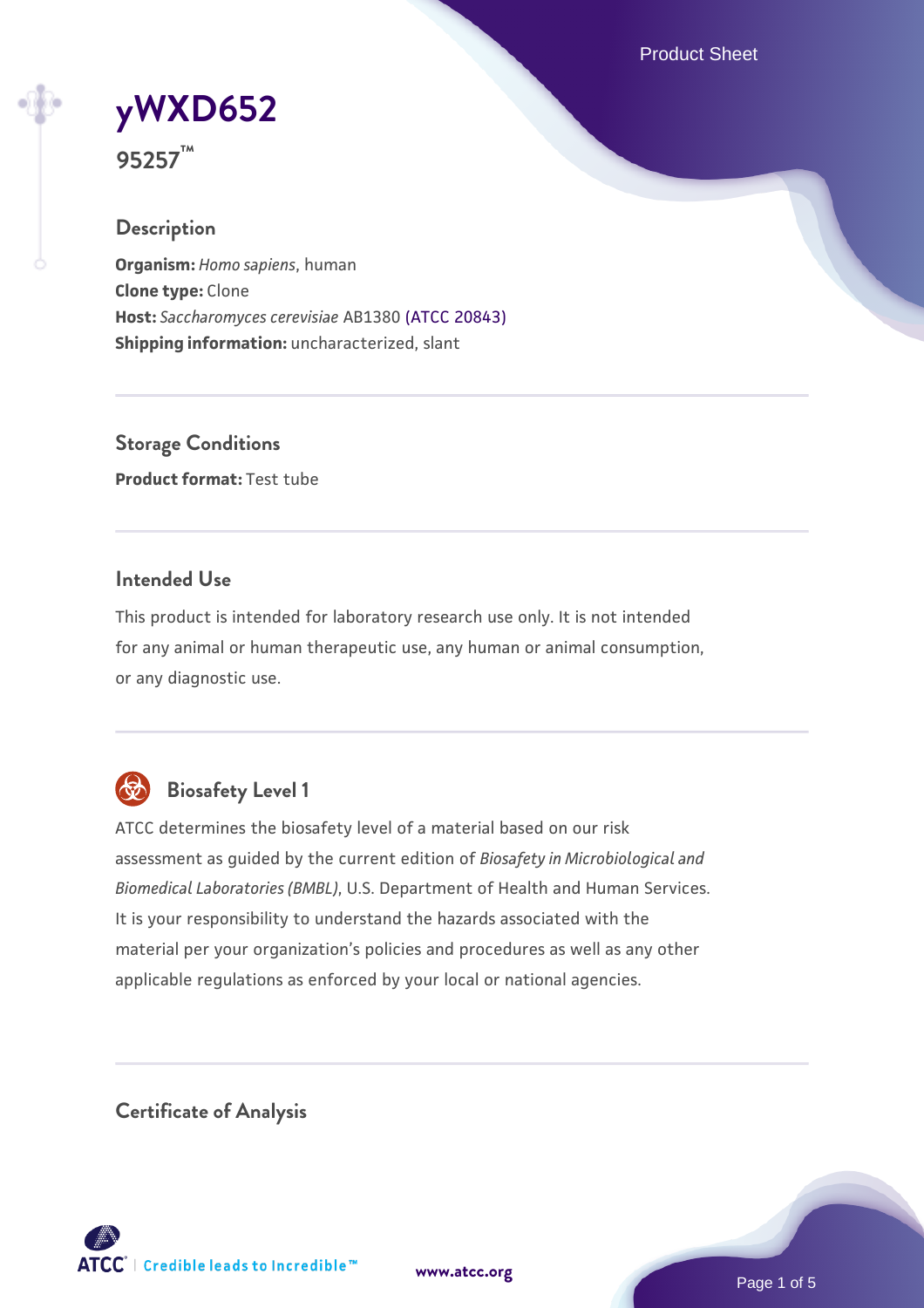Product Sheet

**[yWXD652](https://www.atcc.org/products/95257)**

**95257™**

# **Description**

**Organism:** *Homo sapiens*, human **Clone type:** Clone **Host:** *Saccharomyces cerevisiae* AB1380 [\(ATCC 20843\)](https://www.atcc.org/products/20843) **Shipping information:** uncharacterized, slant

**Storage Conditions Product format:** Test tube

# **Intended Use**

This product is intended for laboratory research use only. It is not intended for any animal or human therapeutic use, any human or animal consumption, or any diagnostic use.



# **Biosafety Level 1**

ATCC determines the biosafety level of a material based on our risk assessment as guided by the current edition of *Biosafety in Microbiological and Biomedical Laboratories (BMBL)*, U.S. Department of Health and Human Services. It is your responsibility to understand the hazards associated with the material per your organization's policies and procedures as well as any other applicable regulations as enforced by your local or national agencies.

**Certificate of Analysis**

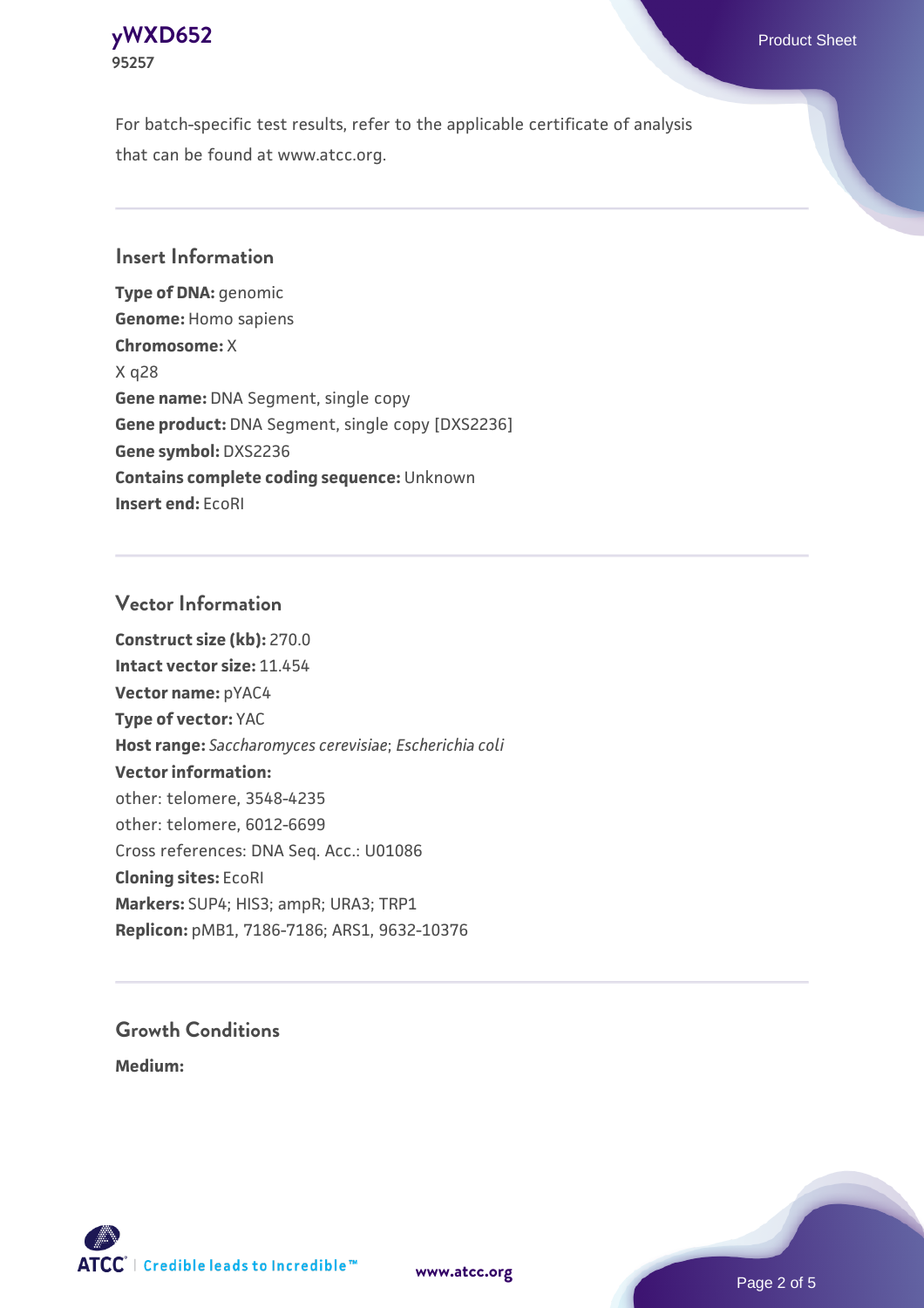

For batch-specific test results, refer to the applicable certificate of analysis that can be found at www.atcc.org.

# **Insert Information**

**Type of DNA:** genomic **Genome:** Homo sapiens **Chromosome:** X X q28 **Gene name:** DNA Segment, single copy **Gene product:** DNA Segment, single copy [DXS2236] **Gene symbol:** DXS2236 **Contains complete coding sequence:** Unknown **Insert end:** EcoRI

### **Vector Information**

**Construct size (kb):** 270.0 **Intact vector size:** 11.454 **Vector name:** pYAC4 **Type of vector:** YAC **Host range:** *Saccharomyces cerevisiae*; *Escherichia coli* **Vector information:** other: telomere, 3548-4235 other: telomere, 6012-6699 Cross references: DNA Seq. Acc.: U01086 **Cloning sites:** EcoRI **Markers:** SUP4; HIS3; ampR; URA3; TRP1 **Replicon:** pMB1, 7186-7186; ARS1, 9632-10376

# **Growth Conditions**

**Medium:** 





Page 2 of 5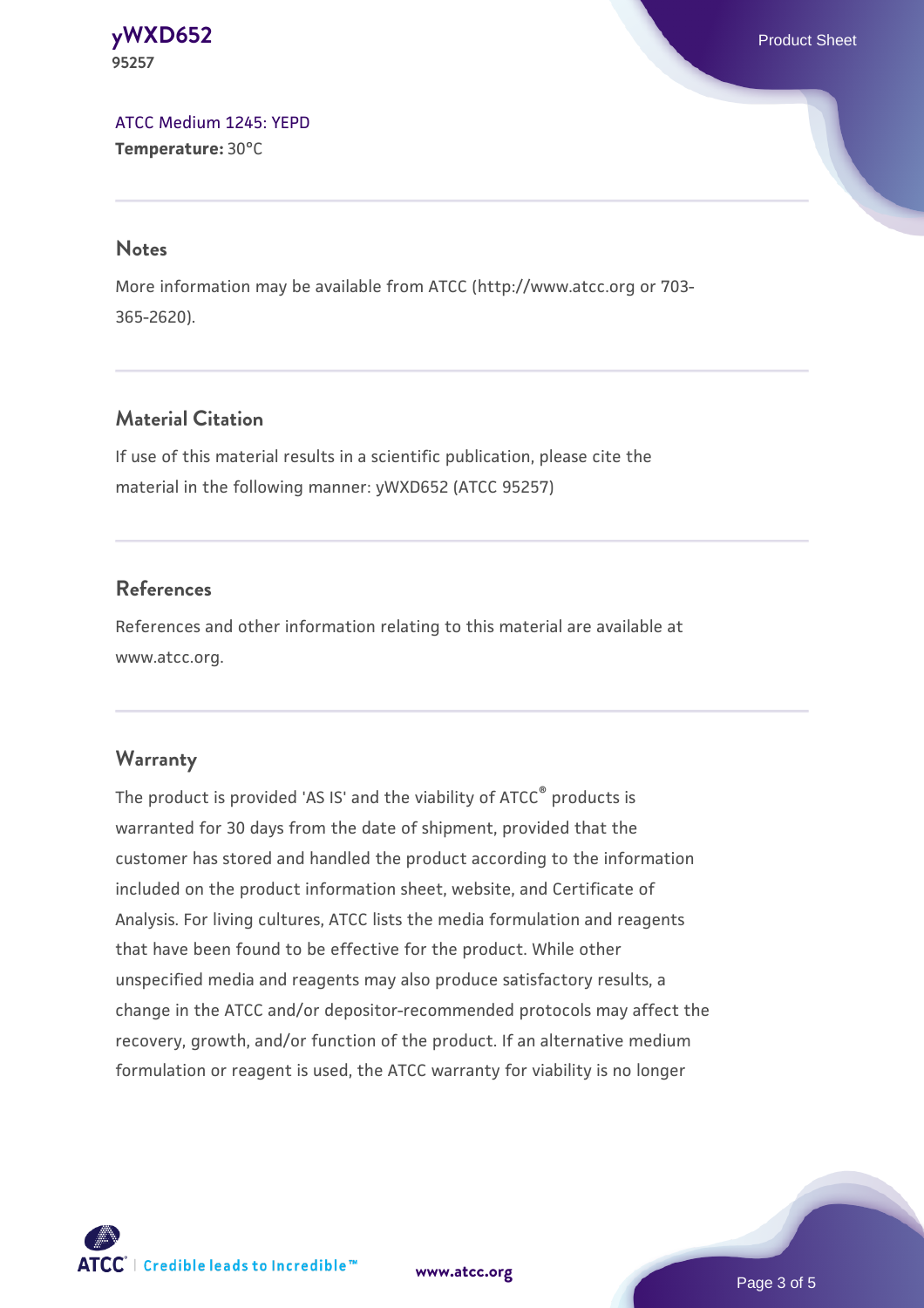### **[yWXD652](https://www.atcc.org/products/95257)** Product Sheet **95257**

[ATCC Medium 1245: YEPD](https://www.atcc.org/-/media/product-assets/documents/microbial-media-formulations/1/2/4/5/atcc-medium-1245.pdf?rev=705ca55d1b6f490a808a965d5c072196) **Temperature:** 30°C

### **Notes**

More information may be available from ATCC (http://www.atcc.org or 703- 365-2620).

# **Material Citation**

If use of this material results in a scientific publication, please cite the material in the following manner: yWXD652 (ATCC 95257)

# **References**

References and other information relating to this material are available at www.atcc.org.

# **Warranty**

The product is provided 'AS IS' and the viability of ATCC® products is warranted for 30 days from the date of shipment, provided that the customer has stored and handled the product according to the information included on the product information sheet, website, and Certificate of Analysis. For living cultures, ATCC lists the media formulation and reagents that have been found to be effective for the product. While other unspecified media and reagents may also produce satisfactory results, a change in the ATCC and/or depositor-recommended protocols may affect the recovery, growth, and/or function of the product. If an alternative medium formulation or reagent is used, the ATCC warranty for viability is no longer



**[www.atcc.org](http://www.atcc.org)**

Page 3 of 5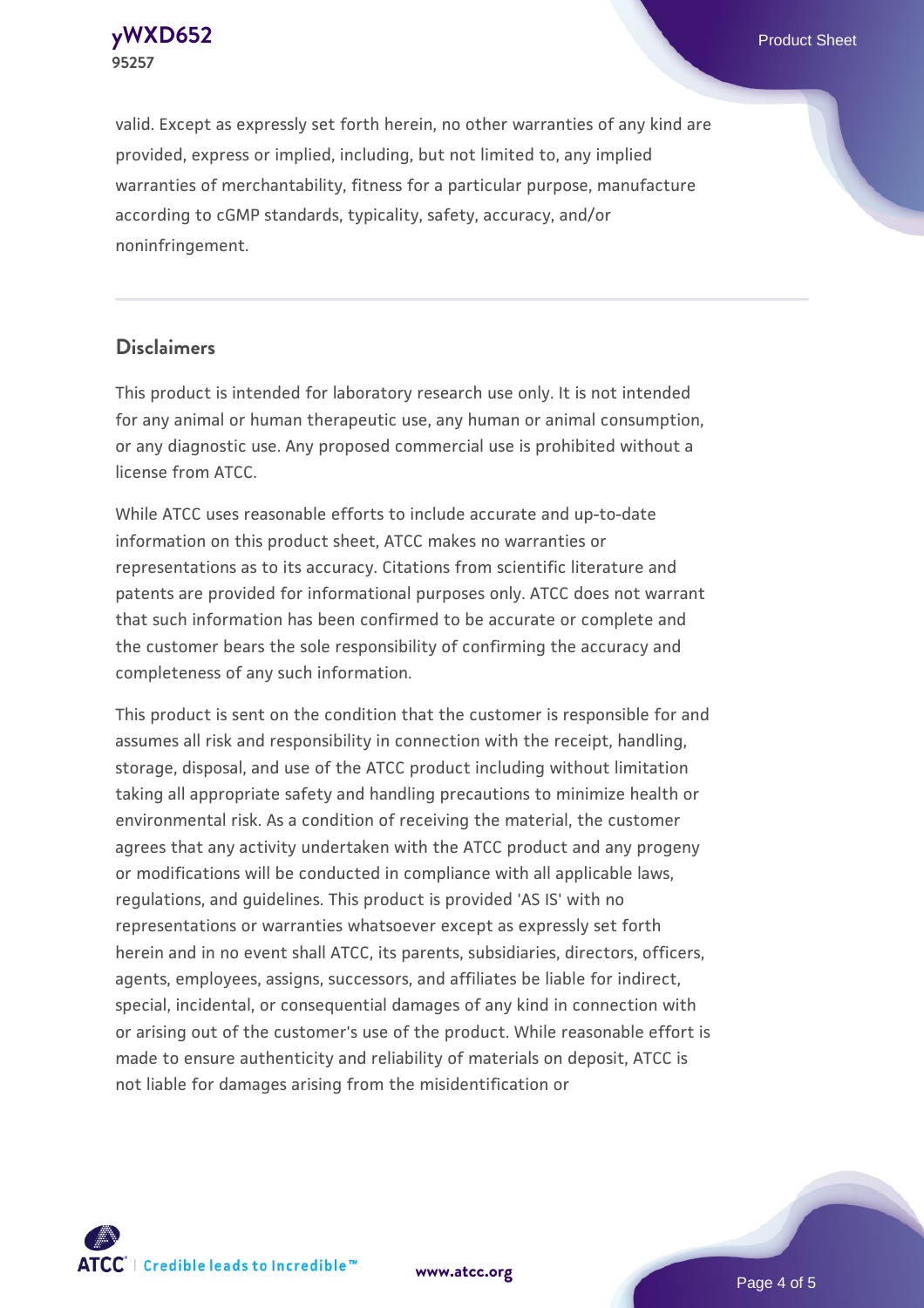**[yWXD652](https://www.atcc.org/products/95257)** Product Sheet **95257**

valid. Except as expressly set forth herein, no other warranties of any kind are provided, express or implied, including, but not limited to, any implied warranties of merchantability, fitness for a particular purpose, manufacture according to cGMP standards, typicality, safety, accuracy, and/or noninfringement.

#### **Disclaimers**

This product is intended for laboratory research use only. It is not intended for any animal or human therapeutic use, any human or animal consumption, or any diagnostic use. Any proposed commercial use is prohibited without a license from ATCC.

While ATCC uses reasonable efforts to include accurate and up-to-date information on this product sheet, ATCC makes no warranties or representations as to its accuracy. Citations from scientific literature and patents are provided for informational purposes only. ATCC does not warrant that such information has been confirmed to be accurate or complete and the customer bears the sole responsibility of confirming the accuracy and completeness of any such information.

This product is sent on the condition that the customer is responsible for and assumes all risk and responsibility in connection with the receipt, handling, storage, disposal, and use of the ATCC product including without limitation taking all appropriate safety and handling precautions to minimize health or environmental risk. As a condition of receiving the material, the customer agrees that any activity undertaken with the ATCC product and any progeny or modifications will be conducted in compliance with all applicable laws, regulations, and guidelines. This product is provided 'AS IS' with no representations or warranties whatsoever except as expressly set forth herein and in no event shall ATCC, its parents, subsidiaries, directors, officers, agents, employees, assigns, successors, and affiliates be liable for indirect, special, incidental, or consequential damages of any kind in connection with or arising out of the customer's use of the product. While reasonable effort is made to ensure authenticity and reliability of materials on deposit, ATCC is not liable for damages arising from the misidentification or



**[www.atcc.org](http://www.atcc.org)**

Page 4 of 5